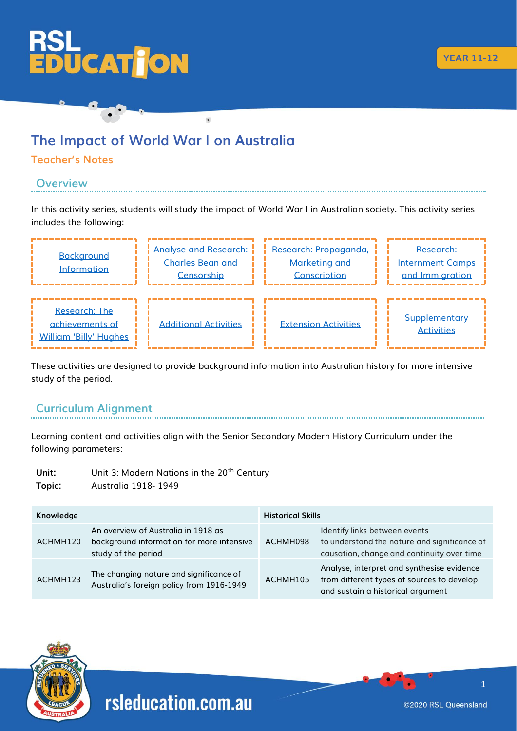

## **UCATHON**

### **The Impact of World War I on Australia Teacher's Notes**

 $\bullet$ 

#### **Overview**

In this activity series, students will study the impact of World War I in Australian society. This activity series includes the following:

| <b>Backaround</b><br>Information                                  | <b>Analyse and Research:</b><br><b>Charles Bean and</b><br>Censorship | Research: Propaganda.<br><b>Marketing and</b><br>Conscription | Research:<br><b>Internment Camps</b><br>and Immigration |
|-------------------------------------------------------------------|-----------------------------------------------------------------------|---------------------------------------------------------------|---------------------------------------------------------|
| Research: The<br>achievements of<br><b>William 'Billy' Huahes</b> | <b>Additional Activities</b>                                          | <b>Extension Activities</b>                                   | Supplementary<br><b>Activities</b>                      |

These activities are designed to provide background information into Australian history for more intensive study of the period.

#### **Curriculum Alignment**

Learning content and activities align with the Senior Secondary Modern History Curriculum under the following parameters:

Unit: Unit 3: Modern Nations in the 20<sup>th</sup> Century **Topic:** Australia 1918- 1949

| Knowledge |                                                                                                         | <b>Historical Skills</b> |                                                                                                                               |  |  |  |
|-----------|---------------------------------------------------------------------------------------------------------|--------------------------|-------------------------------------------------------------------------------------------------------------------------------|--|--|--|
| ACHMH120  | An overview of Australia in 1918 as<br>background information for more intensive<br>study of the period | ACHMH098                 | Identify links between events<br>to understand the nature and significance of<br>causation, change and continuity over time   |  |  |  |
| ACHMH123  | The changing nature and significance of<br>Australia's foreign policy from 1916-1949                    | ACHMH105                 | Analyse, interpret and synthesise evidence<br>from different types of sources to develop<br>and sustain a historical argument |  |  |  |



rsleducation.com.au

@2020 RSL Queensland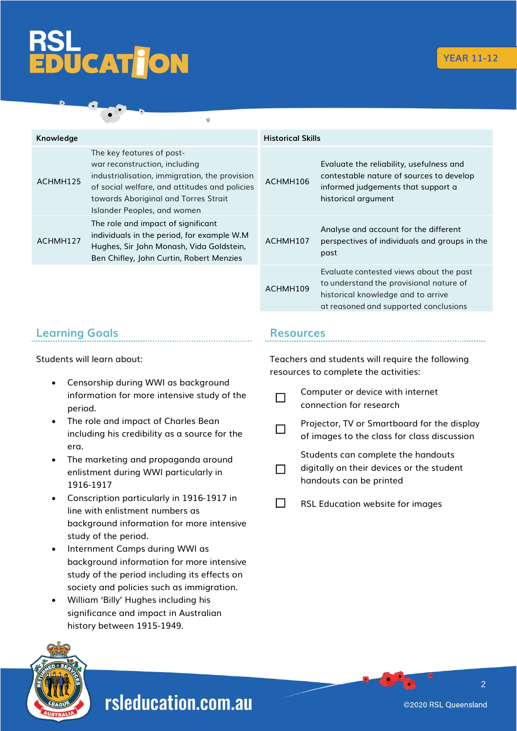### **ŪCAT<mark>i</mark>ON**

| <b>YEAR 11-12</b> |  |
|-------------------|--|

| Knowledge |                                                                                                                                                                                                                                     |
|-----------|-------------------------------------------------------------------------------------------------------------------------------------------------------------------------------------------------------------------------------------|
| ACHMH125  | The key features of post-<br>war reconstruction, including<br>industrialisation, immigration, the provision<br>of social welfare, and attitudes and policies<br>towards Aboriginal and Torres Strait<br>Islander Peoples, and women |
| ACHMH127  | The role and impact of significant<br>individuals in the period, for example W.M<br>Hughes, Sir John Monash, Vida Goldstein,<br>Ben Chifley, John Curtin, Robert Menzies                                                            |

 $\overline{\bullet}$ 

#### **Learning Goals Resources**

Students will learn about:

- Censorship during WWI as background information for more intensive study of the period.
- The role and impact of Charles Bean including his credibility as a source for the era.
- The marketing and propaganda around enlistment during WWI particularly in 1916-1917
- Conscription particularly in 1916-1917 in line with enlistment numbers as background information for more intensive study of the period.
- Internment Camps during WWI as background information for more intensive study of the period including its effects on society and policies such as immigration.
- William 'Billy' Hughes including his significance and impact in Australian history between 1915-1949.

**Kistorical Skills** 

ACHMH106

ACHMH107

ACHMH109

Teachers and students will require the following resources to complete the activities:

Evaluate the reliability, usefulness and contestable nature of sources to develop informed judgements that support a

Analyse and account for the different

perspectives of individuals and groups in the

Evaluate contested views about the past to understand the provisional nature of historical knowledge and to arrive at reasoned and supported conclusions

historical argument

past

- ☐ Computer or device with internet connection for research ☐ Projector, TV or Smartboard for the display
	- of images to the class for class discussion Students can complete the handouts
- ☐ digitally on their devices or the student handouts can be printed
- ☐ RSL Education website for images



### rsleducation.com.au

@2020 RSL Queensland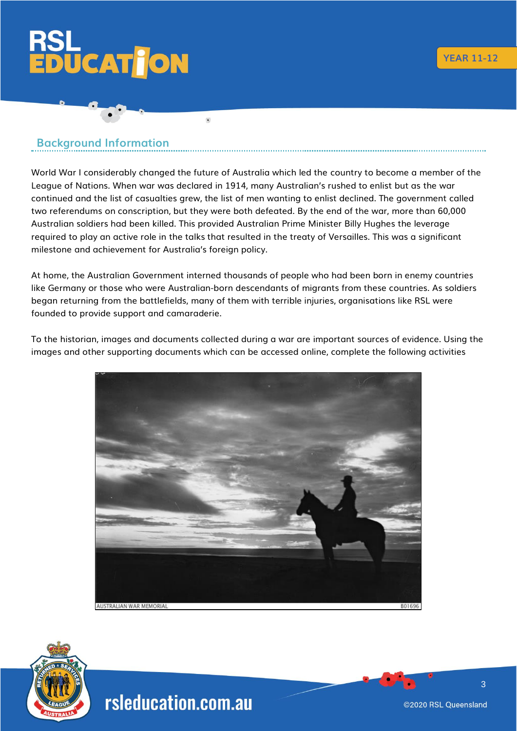### **UCATFON**

#### <span id="page-2-0"></span>**Background Information**

World War I considerably changed the future of Australia which led the country to become a member of the League of Nations. When war was declared in 1914, many Australian's rushed to enlist but as the war continued and the list of casualties grew, the list of men wanting to enlist declined. The government called two referendums on conscription, but they were both defeated. By the end of the war, more than 60,000 Australian soldiers had been killed. This provided Australian Prime Minister Billy Hughes the leverage required to play an active role in the talks that resulted in the treaty of Versailles. This was a significant milestone and achievement for Australia's foreign policy.  

At home, the Australian Government interned thousands of people who had been born in enemy countries like Germany or those who were Australian-born descendants of migrants from these countries. As soldiers began returning from the battlefields, many of them with terrible injuries, organisations like RSL were founded to provide support and camaraderie.

To the historian, images and documents collected during a war are important sources of evidence. Using the images and other supporting documents which can be accessed online, complete the following activities



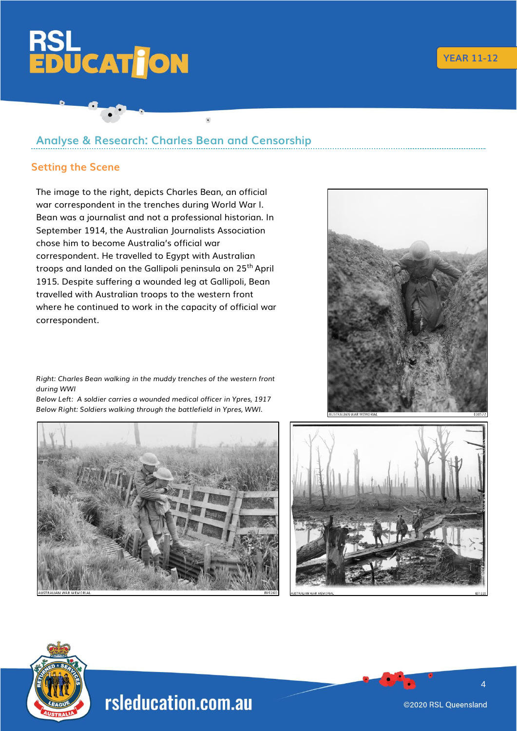## HSL<br>Educat<mark>ij</mark>on

### <span id="page-3-0"></span>**Analyse & Research: Charles Bean and Censorship**

#### **Setting the Scene**

The image to the right, depicts Charles Bean, an official war correspondent in the trenches during World War I. Bean was a journalist and not a professional historian. In September 1914, the Australian Journalists Association chose him to become Australia's official war correspondent. He travelled to Egypt with Australian troops and landed on the Gallipoli peninsula on 25<sup>th</sup> April 1915. Despite suffering a wounded leg at Gallipoli, Bean travelled with Australian troops to the western front where he continued to work in the capacity of official war correspondent.

*Right: Charles Bean walking in the muddy trenches of the western front during WWI*

*Below Left: A soldier carries a wounded medical officer in Ypres, 1917 Below Right: Soldiers walking through the battlefield in Ypres, WWI.*





**YEAR 11-12**





### rsleducation.com.au

@2020 RSL Queensland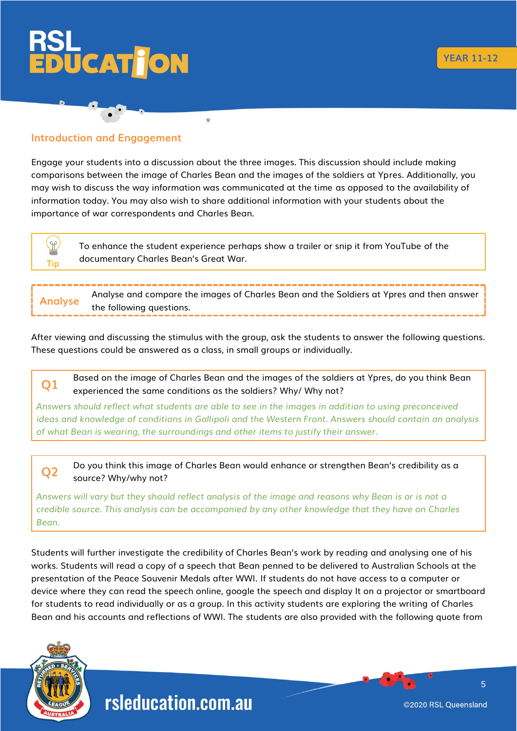# **ÜCAT<mark>i</mark>ON**

#### **Introduction and Engagement**

Engage your students into a discussion about the three images. This discussion should include making comparisons between the image of Charles Bean and the images of the soldiers at Ypres. Additionally, you may wish to discuss the way information was communicated at the time as opposed to the availability of information today. You may also wish to share additional information with your students about the importance of war correspondents and Charles Bean.



**Q1**

To enhance the student experience perhaps show a trailer or snip it from YouTube of the documentary Charles Bean's Great War.

#### **Analyse** Analyse and compare the images of Charles Bean and the Soldiers at Ypres and then answer the following questions.

After viewing and discussing the stimulus with the group, ask the students to answer the following questions. These questions could be answered as a class, in small groups or individually.

Based on the image of Charles Bean and the images of the soldiers at Ypres, do you think Bean experienced the same conditions as the soldiers? Why/ Why not?

*Answers should reflect what students are able to see in the images in addition to using preconceived ideas and knowledge of conditions in Gallipoli and the Western Front. Answers should contain an analysis of what Bean is wearing, the surroundings and other items to justify their answer*.

**Q2** Do you think this image of Charles Bean would enhance or strengthen Bean's credibility as a source? Why/why not?

*Answers will vary but they should reflect analysis of the image and reasons why Bean is or is not a credible source. This analysis can be accompanied by any other knowledge that they have on Charles Bean.*

Students will further investigate the credibility of Charles Bean's work by reading and analysing one of his works. Students will read a copy of a speech that Bean penned to be delivered to Australian Schools at the presentation of the Peace Souvenir Medals after WWI. If students do not have access to a computer or device where they can read the speech online, google the speech and display It on a projector or smartboard for students to read individually or as a group. In this activity students are exploring the writing of Charles Bean and his accounts and reflections of WWI. The students are also provided with the following quote from



rsleducation.com.au

©2020 RSL Queensland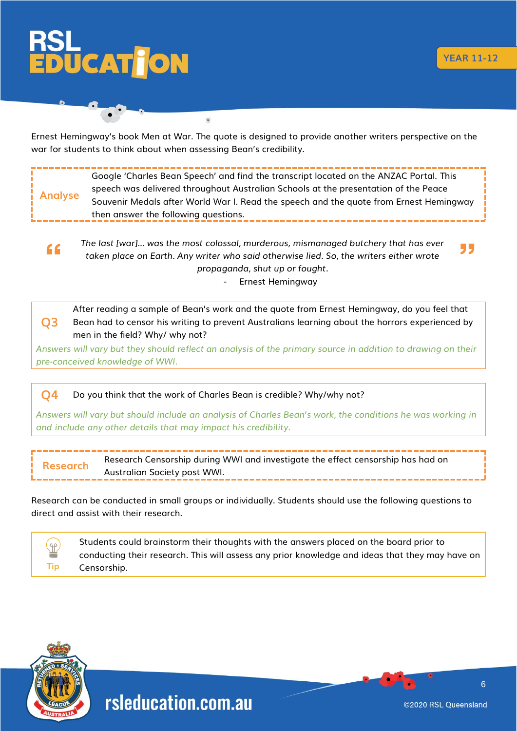## **UCATFON**

Ernest Hemingway's book Men at War. The quote is designed to provide another writers perspective on the war for students to think about when assessing Bean's credibility.

**Analyse** Google 'Charles Bean Speech' and find the transcript located on the ANZAC Portal. This speech was delivered throughout Australian Schools at the presentation of the Peace Souvenir Medals after World War I. Read the speech and the quote from Ernest Hemingway then answer the following questions.

 $\epsilon$ 

*The last [war]… was the most colossal, murderous, mismanaged butchery that has ever taken place on Earth. Any writer who said otherwise lied. So, the writers either wrote propaganda, shut up or fought.*

- Ernest Hemingway

**Q3** After reading a sample of Bean's work and the quote from Ernest Hemingway, do you feel that Bean had to censor his writing to prevent Australians learning about the horrors experienced by men in the field? Why/ why not?

*Answers will vary but they should reflect an analysis of the primary source in addition to drawing on their pre-conceived knowledge of WWI.* 

#### **Q4** Do you think that the work of Charles Bean is credible? Why/why not?

*Answers will vary but should include an analysis of Charles Bean's work, the conditions he was working in and include any other details that may impact his credibility.* 

**Research Censorship during WWI and investigate the effect censorship has had on** Australian Society post WWI.

Research can be conducted in small groups or individually. Students should use the following questions to direct and assist with their research.



Students could brainstorm their thoughts with the answers placed on the board prior to conducting their research. This will assess any prior knowledge and ideas that they may have on Censorship.



rsleducation.com.au

©2020 RSL Queensland

6

**YEAR 11-12**

"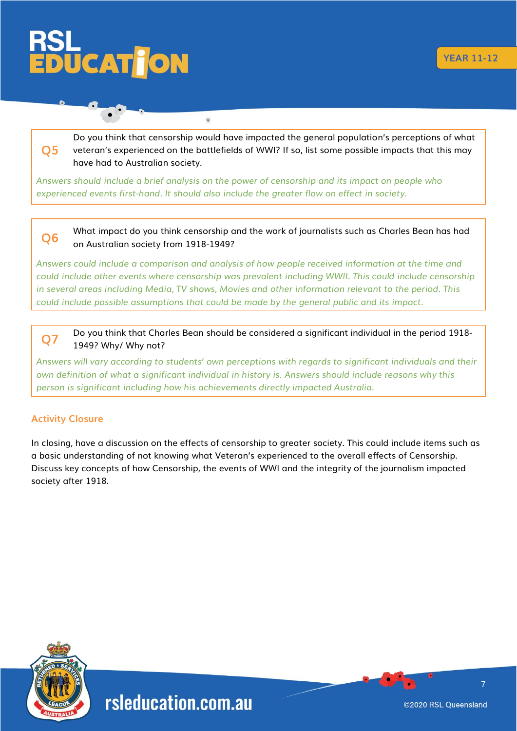# **UCATFON**

**YEAR 11-12**

**Q5** Do you think that censorship would have impacted the general population's perceptions of what veteran's experienced on the battlefields of WWI? If so, list some possible impacts that this may have had to Australian society.

*Answers should include a brief analysis on the power of censorship and its impact on people who experienced events first-hand. It should also include the greater flow on effect in society.* 

 $\overline{\phantom{a}}$ 

What impact do you think censorship and the work of journalists such as Charles Bean has had<br> **Q6** Material Material Material Material Material Material Material Material Material Material Material Material Ma on Australian society from 1918-1949?

*Answers could include a comparison and analysis of how people received information at the time and could include other events where censorship was prevalent including WWII. This could include censorship in several areas including Media, TV shows, Movies and other information relevant to the period. This could include possible assumptions that could be made by the general public and its impact.* 

**Q7** Do you think that Charles Bean should be considered a significant individual in the period 1918- 1949? Why/ Why not?

*Answers will vary according to students' own perceptions with regards to significant individuals and their own definition of what a significant individual in history is. Answers should include reasons why this person is significant including how his achievements directly impacted Australia.* 

#### **Activity Closure**

In closing, have a discussion on the effects of censorship to greater society. This could include items such as a basic understanding of not knowing what Veteran's experienced to the overall effects of Censorship. Discuss key concepts of how Censorship, the events of WWI and the integrity of the journalism impacted society after 1918.

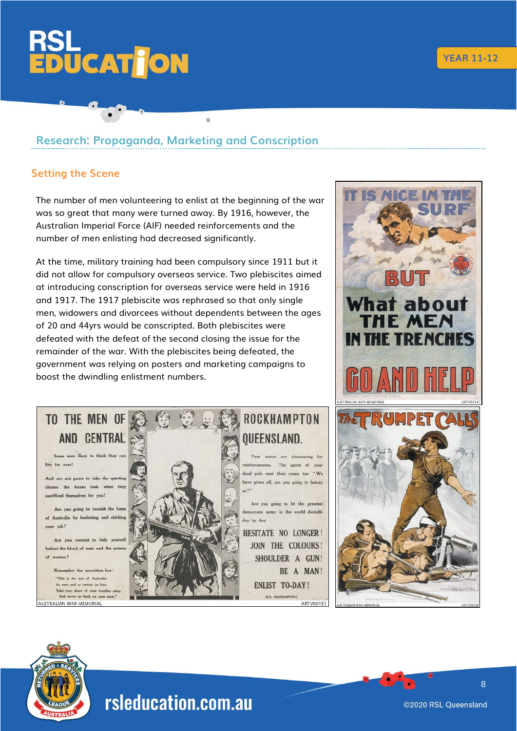### nel<br>E**ducat<mark>i</mark>on**

### <span id="page-7-0"></span>**Research: Propaganda, Marketing and Conscription**

#### **Setting the Scene**

TO THE MEN OF

And are not game to take the sporting

chance the Anzac took when they sacrificed themselves for you!

of Australia by hesitating and shirking

Are you going to tarnish the fame

Are you content to hide yourself

behind the blood of men and the s

Remember the unwritten law! This is the law of Australia As sure and as certain as fate,

Take your share of your trout And never go back on your

AUSTRALIAN WAR MEMORIAL

live for ever!

your job?

of women?

AND CENTRAL

men seem to think they can

The number of men volunteering to enlist at the beginning of the war was so great that many were turned away. By 1916, however, the Australian Imperial Force (AIF) needed reinforcements and the number of men enlisting had decreased significantly.

At the time, military training had been compulsory since 1911 but it did not allow for compulsory overseas service. Two plebiscites aimed at introducing conscription for overseas service were held in 1916 and 1917. The 1917 plebiscite was rephrased so that only single men, widowers and divorcees without dependents between the ages of 20 and 44yrs would be conscripted. Both plebiscites were defeated with the defeat of the second closing the issue for the remainder of the war. With the plebiscites being defeated, the government was relying on posters and marketing campaigns to boost the dwindling enlistment numbers.





### rsleducation.com.au

©2020 RSL Queensland

**YEAR 11-12**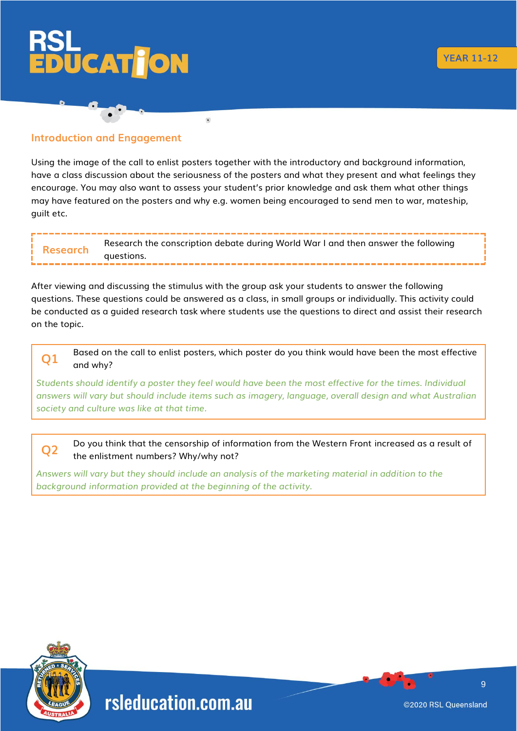# **ÜCAT<mark>i</mark>ON**

#### **Introduction and Engagement**

Using the image of the call to enlist posters together with the introductory and background information, have a class discussion about the seriousness of the posters and what they present and what feelings they encourage. You may also want to assess your student's prior knowledge and ask them what other things may have featured on the posters and why e.g. women being encouraged to send men to war, mateship, guilt etc.

**Research** Research the conscription debate during World War I and then answer the following questions.

After viewing and discussing the stimulus with the group ask your students to answer the following questions. These questions could be answered as a class, in small groups or individually. This activity could be conducted as a guided research task where students use the questions to direct and assist their research on the topic.

Based on the call to enlist posters, which poster do you think would have been the most effective **Q1** and why?

*Students should identify a poster they feel would have been the most effective for the times. Individual answers will vary but should include items such as imagery, language, overall design and what Australian society and culture was like at that time.* 

#### **Q2**

Do you think that the censorship of information from the Western Front increased as a result of the enlistment numbers? Why/why not?

*Answers will vary but they should include an analysis of the marketing material in addition to the background information provided at the beginning of the activity.* 





@2020 RSL Queensland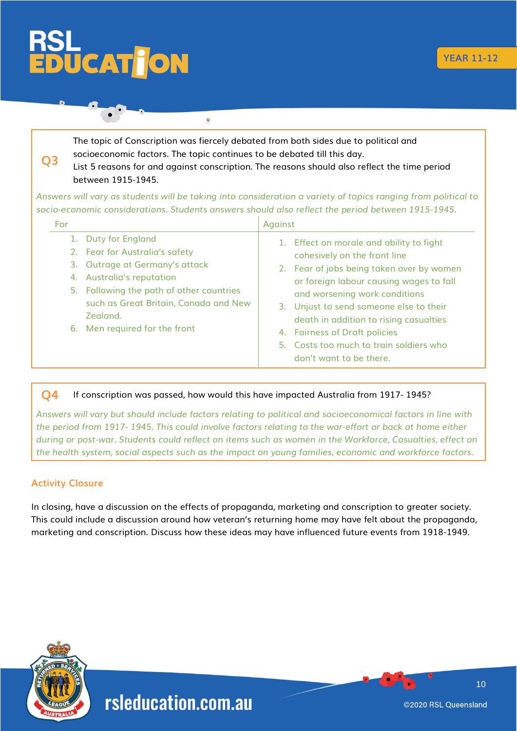## nel<br>E**ducat<mark>i</mark>on**

**Q3**

The topic of Conscription was fiercely debated from both sides due to political and socioeconomic factors. The topic continues to be debated till this day.

 $\bullet$ 

List 5 reasons for and against conscription. The reasons should also reflect the time period between 1915-1945.

*Answers will vary as students will be taking into consideration a variety of topics ranging from political to socio-economic considerations. Students answers should also reflect the period between 1915-1945.* 

| For                                                                                                                                                                                                                                                    | Against                                                                                                                                                                                                                                                                                                                                                                                       |
|--------------------------------------------------------------------------------------------------------------------------------------------------------------------------------------------------------------------------------------------------------|-----------------------------------------------------------------------------------------------------------------------------------------------------------------------------------------------------------------------------------------------------------------------------------------------------------------------------------------------------------------------------------------------|
| 1. Duty for England<br>2. Fear for Australia's safety<br>3. Outrage at Germany's attack<br>4. Australia's reputation<br>5. Following the path of other countries<br>such as Great Britain, Canada and New<br>Zealand.<br>6. Men required for the front | 1. Effect on morale and ability to fight<br>cohesively on the front line<br>2. Fear of jobs being taken over by women<br>or foreign labour causing wages to fall<br>and worsening work conditions<br>3. Unjust to send someone else to their<br>death in addition to rising casualties<br>4. Fairness of Draft policies<br>5. Costs too much to train soldiers who<br>don't want to be there. |

#### **Q4** If conscription was passed, how would this have impacted Australia from 1917- 1945?

*Answers will vary but should include factors relating to political and socioeconomical factors in line with the period from 1917- 1945. This could involve factors relating to the war-effort or back at home either during or post-war. Students could reflect on items such as women in the Workforce, Casualties, effect on the health system, social aspects such as the impact on young families, economic and workforce factors.* 

#### **Activity Closure**

In closing, have a discussion on the effects of propaganda, marketing and conscription to greater society. This could include a discussion around how veteran's returning home may have felt about the propaganda, marketing and conscription. Discuss how these ideas may have influenced future events from 1918-1949.



rsleducation.com.au

@2020 RSL Queensland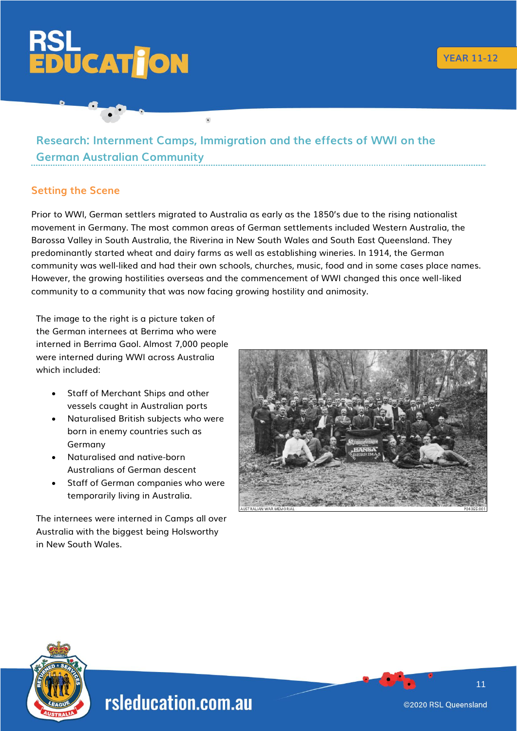### **EDUCAT<mark>i</mark>ON**

### <span id="page-10-0"></span>**Research: Internment Camps, Immigration and the effects of WWI on the German Australian Community**

#### **Setting the Scene**

Prior to WWI, German settlers migrated to Australia as early as the 1850's due to the rising nationalist movement in Germany. The most common areas of German settlements included Western Australia, the Barossa Valley in South Australia, the Riverina in New South Wales and South East Queensland. They predominantly started wheat and dairy farms as well as establishing wineries. In 1914, the German community was well-liked and had their own schools, churches, music, food and in some cases place names. However, the growing hostilities overseas and the commencement of WWI changed this once well-liked community to a community that was now facing growing hostility and animosity.

The image to the right is a picture taken of the German internees at Berrima who were interned in Berrima Gaol. Almost 7,000 people were interned during WWI across Australia which included:

- Staff of Merchant Ships and other vessels caught in Australian ports
- Naturalised British subjects who were born in enemy countries such as Germany
- Naturalised and native-born Australians of German descent
- Staff of German companies who were temporarily living in Australia.

The internees were interned in Camps all over Australia with the biggest being Holsworthy in New South Wales.





### rsleducation.com.au

@2020 RSL Queensland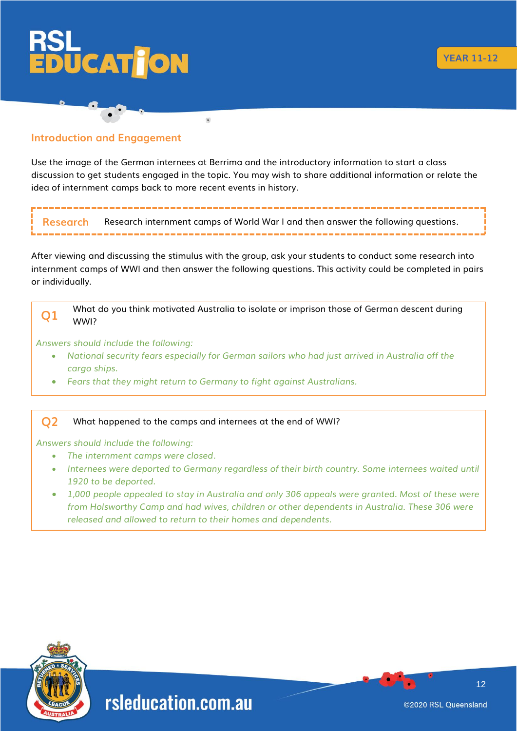# **UCATION**

#### **Introduction and Engagement**

Use the image of the German internees at Berrima and the introductory information to start a class discussion to get students engaged in the topic. You may wish to share additional information or relate the idea of internment camps back to more recent events in history.

**Research** Research internment camps of World War I and then answer the following questions.

After viewing and discussing the stimulus with the group, ask your students to conduct some research into internment camps of WWI and then answer the following questions. This activity could be completed in pairs or individually.

**Q1** What do you think motivated Australia to isolate or imprison those of German descent during WWI?

*Answers should include the following:* 

- *National security fears especially for German sailors who had just arrived in Australia off the cargo ships.*
- *Fears that they might return to Germany to fight against Australians.*

#### **Q2** What happened to the camps and internees at the end of WWI?

*Answers should include the following:* 

- *The internment camps were closed.*
- *Internees were deported to Germany regardless of their birth country. Some internees waited until 1920 to be deported.*
- *1,000 people appealed to stay in Australia and only 306 appeals were granted. Most of these were from Holsworthy Camp and had wives, children or other dependents in Australia. These 306 were released and allowed to return to their homes and dependents.*





@2020 RSL Queensland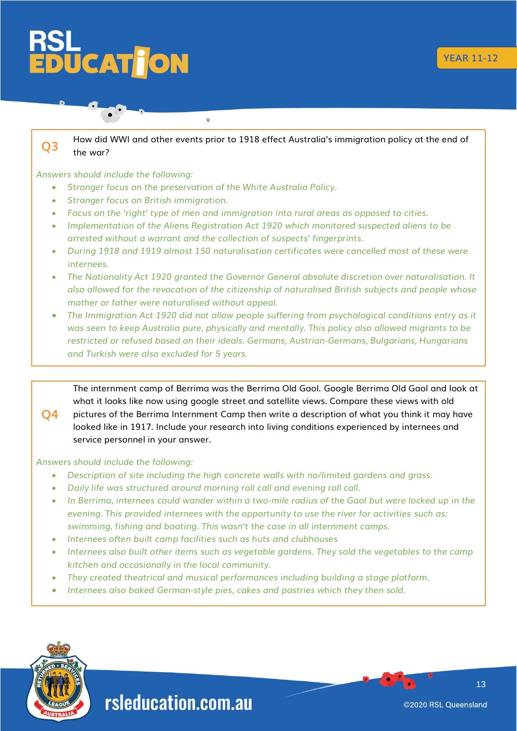### **EDUCAT TON**

How did WWI and other events prior to 1918 effect Australia's immigration policy at the end of the war?

#### *Answers should include the following:*

**Q3**

• *Stronger focus on the preservation of the White Australia Policy.* 

 $\ddot{\phantom{a}}$ 

- *Stronger focus on British immigration.*
- *Focus on the 'right' type of men and immigration into rural areas as opposed to cities.*
- *Implementation of the Aliens Registration Act 1920 which monitored suspected aliens to be arrested without a warrant and the collection of suspects' fingerprints.*
- *During 1918 and 1919 almost 150 naturalisation certificates were cancelled most of these were internees.*
- *The Nationality Act 1920 granted the Governor General absolute discretion over naturalisation. It also allowed for the revocation of the citizenship of naturalised British subjects and people whose mother or father were naturalised without appeal.*
- *The Immigration Act 1920 did not allow people suffering from psychological conditions entry as it was seen to keep Australia pure, physically and mentally. This policy also allowed migrants to be restricted or refused based on their ideals. Germans, Austrian-Germans, Bulgarians, Hungarians and Turkish were also excluded for 5 years.*

**Q4** The internment camp of Berrima was the Berrima Old Gaol. Google Berrima Old Gaol and look at what it looks like now using google street and satellite views. Compare these views with old pictures of the Berrima Internment Camp then write a description of what you think it may have looked like in 1917. Include your research into living conditions experienced by internees and service personnel in your answer.

#### *Answers should include the following:*

- *Description of site including the high concrete walls with no/limited gardens and grass.*
- *Daily life was structured around morning roll call and evening roll call.*
- *In Berrima, internees could wander within a two-mile radius of the Gaol but were locked up in the evening. This provided internees with the opportunity to use the river for activities such as: swimming, fishing and boating. This wasn't the case in all internment camps.*
- *Internees often built camp facilities such as huts and clubhouses*
- *Internees also built other items such as vegetable gardens. They sold the vegetables to the camp kitchen and occasionally in the local community.*
- *They created theatrical and musical performances including building a stage platform.*
- *Internees also baked German-style pies, cakes and pastries which they then sold.*



@2020 RSL Queensland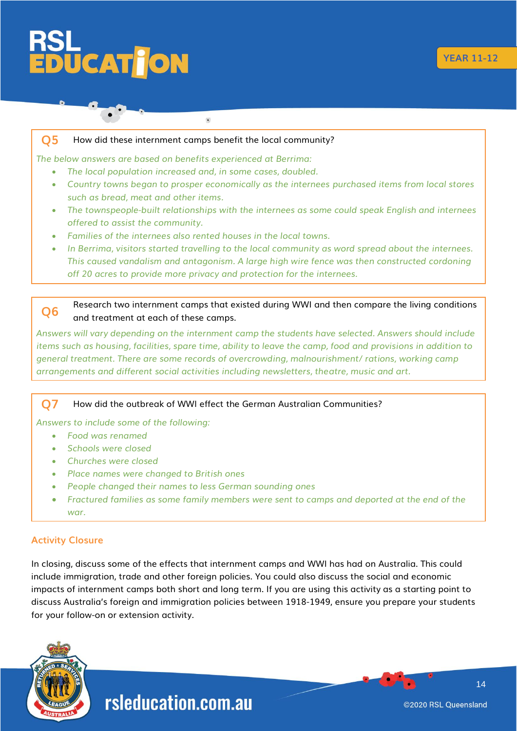## **EDUCAT JON**

#### **Q5** How did these internment camps benefit the local community?

 $\ddot{\phantom{a}}$ 

*The below answers are based on benefits experienced at Berrima:* 

- *The local population increased and, in some cases, doubled.*
- *Country towns began to prosper economically as the internees purchased items from local stores such as bread, meat and other items.*
- *The townspeople-built relationships with the internees as some could speak English and internees offered to assist the community.*
- *Families of the internees also rented houses in the local towns.*
- *In Berrima, visitors started travelling to the local community as word spread about the internees. This caused vandalism and antagonism. A large high wire fence was then constructed cordoning off 20 acres to provide more privacy and protection for the internees.*

#### **Q6** Research two internment camps that existed during WWI and then compare the living conditions and treatment at each of these camps.

*Answers will vary depending on the internment camp the students have selected. Answers should include items such as housing, facilities, spare time, ability to leave the camp, food and provisions in addition to general treatment. There are some records of overcrowding, malnourishment/ rations, working camp arrangements and different social activities including newsletters, theatre, music and art.* 

#### **Q7** How did the outbreak of WWI effect the German Australian Communities?

*Answers to include some of the following:* 

- *Food was renamed*
- *Schools were closed*
- *Churches were closed*
- *Place names were changed to British ones*
- *People changed their names to less German sounding ones*
- *Fractured families as some family members were sent to camps and deported at the end of the war.*

#### **Activity Closure**

In closing, discuss some of the effects that internment camps and WWI has had on Australia. This could include immigration, trade and other foreign policies. You could also discuss the social and economic impacts of internment camps both short and long term. If you are using this activity as a starting point to discuss Australia's foreign and immigration policies between 1918-1949, ensure you prepare your students for your follow-on or extension activity.





@2020 RSL Queensland

**YEAR 11-12**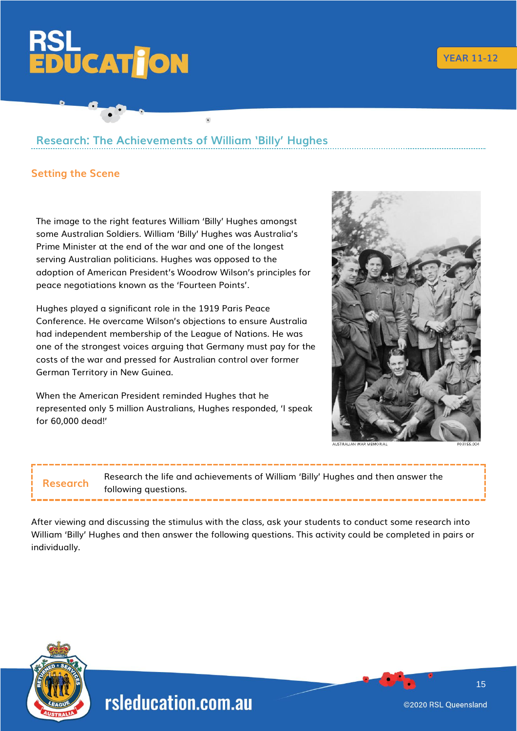### **EDUCAT<mark>i</mark>ON**

#### <span id="page-14-0"></span>**Research: The Achievements of William 'Billy' Hughes**

#### **Setting the Scene**

The image to the right features William 'Billy' Hughes amongst some Australian Soldiers. William 'Billy' Hughes was Australia's Prime Minister at the end of the war and one of the longest serving Australian politicians. Hughes was opposed to the adoption of American President's Woodrow Wilson's principles for peace negotiations known as the 'Fourteen Points'.

Hughes played a significant role in the 1919 Paris Peace Conference. He overcame Wilson's objections to ensure Australia had independent membership of the League of Nations. He was one of the strongest voices arguing that Germany must pay for the costs of the war and pressed for Australian control over former German Territory in New Guinea.

When the American President reminded Hughes that he represented only 5 million Australians, Hughes responded, 'I speak for 60,000 dead!'



**Research** the life and achievements of William 'Billy' Hughes and then answer the following questions.

After viewing and discussing the stimulus with the class, ask your students to conduct some research into William 'Billy' Hughes and then answer the following questions. This activity could be completed in pairs or individually.



rsleducation.com.au

@2020 RSL Queensland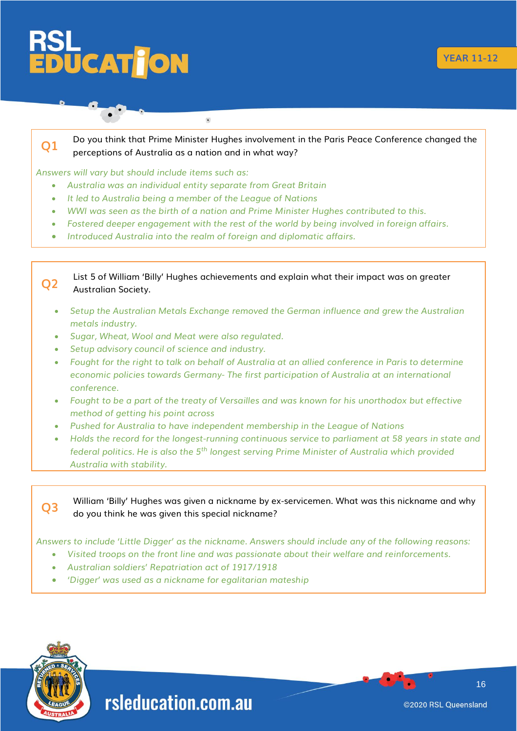## UCAT<mark>ion</mark>

**Q1** Do you think that Prime Minister Hughes involvement in the Paris Peace Conference changed the perceptions of Australia as a nation and in what way?

*Answers will vary but should include items such as:* 

- *Australia was an individual entity separate from Great Britain*
- *It led to Australia being a member of the League of Nations*
- *WWI was seen as the birth of a nation and Prime Minister Hughes contributed to this.*
- *Fostered deeper engagement with the rest of the world by being involved in foreign affairs.*
- *Introduced Australia into the realm of foreign and diplomatic affairs.*

 $\ddot{\phantom{a}}$ 

**Q2** List 5 of William 'Billy' Hughes achievements and explain what their impact was on greater Australian Society.

- *Setup the Australian Metals Exchange removed the German influence and grew the Australian metals industry.*
- *Sugar, Wheat, Wool and Meat were also regulated.*
- *Setup advisory council of science and industry.*
- *Fought for the right to talk on behalf of Australia at an allied conference in Paris to determine economic policies towards Germany- The first participation of Australia at an international conference.*
- *Fought to be a part of the treaty of Versailles and was known for his unorthodox but effective method of getting his point across*
- *Pushed for Australia to have independent membership in the League of Nations*
- *Holds the record for the longest-running continuous service to parliament at 58 years in state and federal politics. He is also the 5th longest serving Prime Minister of Australia which provided Australia with stability.*

William 'Billy' Hughes was given a nickname by ex-servicemen. What was this nickname and why do you think he was given this special nickname?

*Answers to include 'Little Digger' as the nickname. Answers should include any of the following reasons:* 

- *Visited troops on the front line and was passionate about their welfare and reinforcements.*
- *Australian soldiers' Repatriation act of 1917/1918*
- *'Digger' was used as a nickname for egalitarian mateship*



**Q3**

rsleducation.com.au

@2020 RSL Queensland

16

**YEAR 11-12**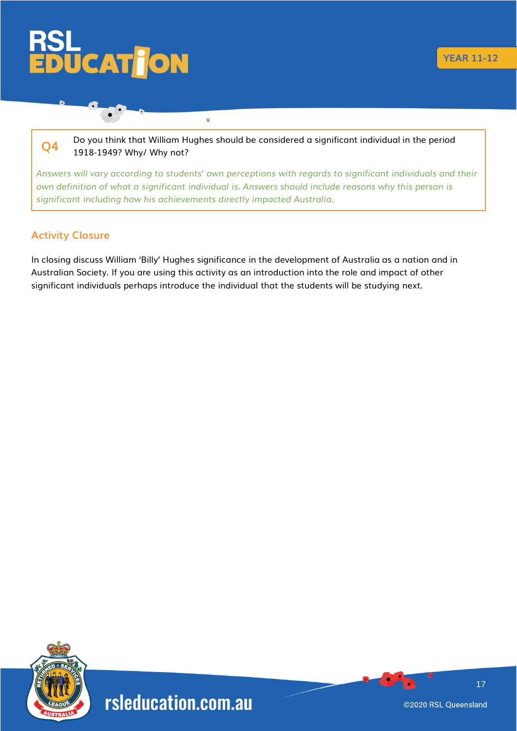## nəl<br>E**ducat<mark>i</mark>on**



**Q4** Do you think that William Hughes should be considered a significant individual in the period 1918-1949? Why/ Why not?

 $\bullet$ 

*Answers will vary according to students' own perceptions with regards to significant individuals and their own definition of what a significant individual is. Answers should include reasons why this person is significant including how his achievements directly impacted Australia.* 

#### **Activity Closure**

In closing discuss William 'Billy' Hughes significance in the development of Australia as a nation and in Australian Society. If you are using this activity as an introduction into the role and impact of other significant individuals perhaps introduce the individual that the students will be studying next.

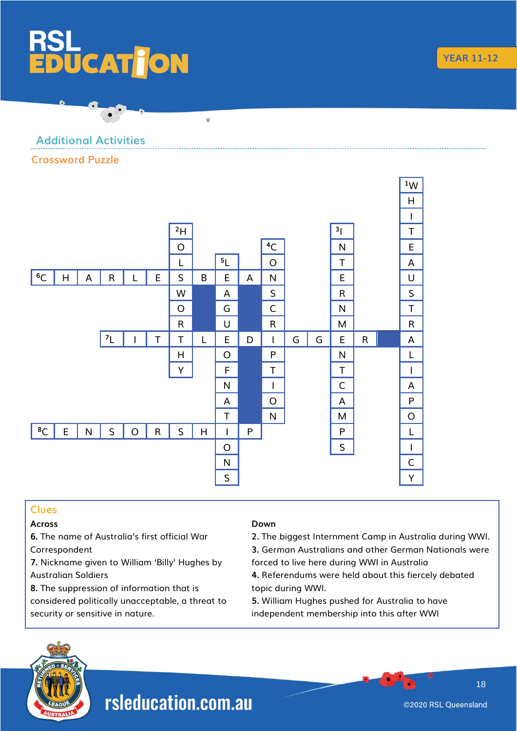## **EDUCAT<mark>i</mark>ON**

**YEAR 11-12**

<span id="page-17-0"></span>**Additional Activities** 

#### **Crossword Puzzle**

|           |   |   |                |         |             |              |         |                |   |                          |   |   |                |           | 1 <sub>W</sub> |
|-----------|---|---|----------------|---------|-------------|--------------|---------|----------------|---|--------------------------|---|---|----------------|-----------|----------------|
|           |   |   |                |         |             |              |         |                |   |                          |   |   |                |           | $\mathsf{H}$   |
|           |   |   |                |         |             |              |         |                |   |                          |   |   |                |           | I              |
|           |   |   |                |         |             | 2H           |         |                |   |                          |   |   | 3 <sub>1</sub> |           | T              |
|           |   |   |                |         |             | $\circ$      |         |                |   | ${}^4C$                  |   |   | N              |           | E              |
|           |   |   |                |         |             | L            |         | 5 <sub>L</sub> |   | $\mathsf{O}$             |   |   | T              |           | A              |
| ${}^6C$   | H | A | ${\sf R}$      | L       | E           | $\mathsf{S}$ | $\sf B$ | E              | A | $\mathsf{N}$             |   |   | E              |           | $\sf U$        |
|           |   |   |                |         |             | W            |         | A              |   | $\sf S$                  |   |   | $\mathsf{R}$   |           | $\sf S$        |
|           |   |   |                |         |             | O            |         | G              |   | $\mathsf{C}$             |   |   | N              |           | T              |
|           |   |   |                |         |             | R            |         | U              |   | ${\sf R}$                |   |   | M              |           | $\sf R$        |
|           |   |   | 7 <sub>L</sub> | I       | T           | T            | L       | E              | D | I                        | G | G | E              | ${\sf R}$ | A              |
|           |   |   |                |         |             | Η            |         | O              |   | $\mathsf{P}$             |   |   | N              |           | L              |
|           |   |   |                |         |             | Υ            |         | $\mathsf F$    |   | $\mathsf T$              |   |   | T              |           | I              |
|           |   |   |                |         |             |              |         | N              |   | $\overline{\phantom{a}}$ |   |   | $\mathsf{C}$   |           | A              |
|           |   |   |                |         |             |              |         | A              |   | $\circ$                  |   |   | A              |           | $\mathsf{P}$   |
|           |   |   |                |         |             |              |         | $\mathsf T$    |   | ${\sf N}$                |   |   | M              |           | $\bigcirc$     |
| ${}^{8}C$ | E | N | $\sf S$        | $\circ$ | $\mathsf R$ | $\sf S$      | H       | I              | P |                          |   |   | P              |           | L              |
|           |   |   |                |         |             |              |         | $\circ$        |   |                          |   |   | $\sf S$        |           | I              |
|           |   |   |                |         |             |              |         | N              |   |                          |   |   |                |           | $\mathsf C$    |
|           |   |   |                |         |             |              |         | $\mathsf S$    |   |                          |   |   |                |           | Y              |

 $\bullet$ 

#### **Clues**

#### **Across Down**

- **6.** The name of Australia's first official War
- Correspondent
- **7.** Nickname given to William 'Billy' Hughes by Australian Soldiers
- **8.** The suppression of information that is
- considered politically unacceptable, a threat to security or sensitive in nature.

- **2.** The biggest Internment Camp in Australia during WWI.
- **3.** German Australians and other German Nationals were forced to live here during WWI in Australia
- **4.** Referendums were held about this fiercely debated topic during WWI.
- **5.** William Hughes pushed for Australia to have independent membership into this after WWI

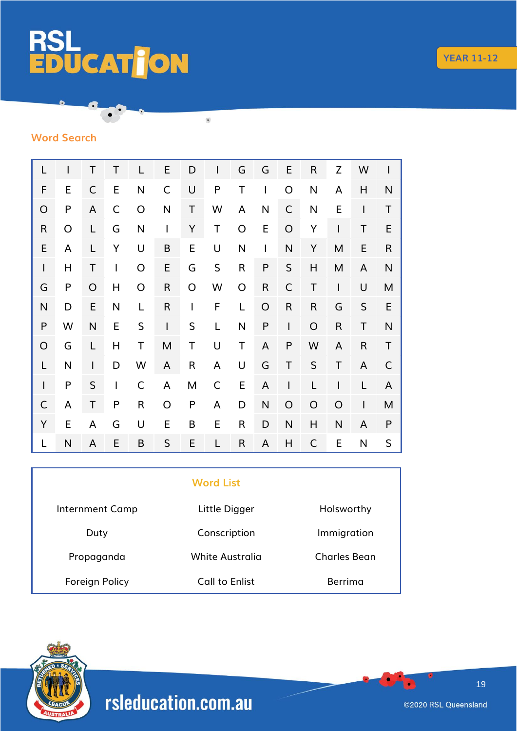# RSL<br>EDUCATION

**Word Search** 

| L            | I            | Τ           | Τ            |             | E                        | D                        | I         | G              | G              | E             | $\mathsf{R}$   | Z                        | W                        | I            |
|--------------|--------------|-------------|--------------|-------------|--------------------------|--------------------------|-----------|----------------|----------------|---------------|----------------|--------------------------|--------------------------|--------------|
| F            | E            | $\mathsf C$ | E            | N           | $\mathsf C$              | U                        | ${\sf P}$ | T              | I              | O             | N              | A                        | Η                        | N            |
| O            | $\mathsf{P}$ | A           | $\mathsf{C}$ | O           | $\mathsf{N}$             | Τ                        | W         | A              | $\mathsf{N}$   | $\mathsf C$   | N              | E                        | $\mathsf I$              | Τ            |
| $\mathsf R$  | O            | L           | G            | N           | $\overline{\phantom{a}}$ | Υ                        | Τ         | O              | $\mathsf E$    | $\mathcal{O}$ | Y              | $\mathsf I$              | T                        | E            |
| E            | A            | L           | Υ            | U           | B                        | E                        | $\sf U$   | ${\sf N}$      | $\overline{1}$ | N             | Υ              | M                        | E                        | $\mathsf R$  |
| I            | $\mathsf{H}$ | T           | $\mathsf{I}$ | O           | E                        | G                        | $\sf S$   | ${\sf R}$      | $\mathsf P$    | $\sf S$       | H              | M                        | A                        | N            |
| G            | $\mathsf{P}$ | $\circ$     | $\mathsf{H}$ | $\bigcirc$  | $\mathsf R$              | $\circ$                  | W         | $\overline{O}$ | $\mathsf R$    | $\mathsf C$   | T              | $\overline{\phantom{a}}$ | U                        | M            |
| N            | D            | E           | ${\sf N}$    | L           | $\sf R$                  | $\overline{\phantom{a}}$ | F         | L              | $\overline{O}$ | ${\sf R}$     | ${\sf R}$      | G                        | S                        | E            |
| $\mathsf{P}$ | W            | N           | E            | $\mathsf S$ | $\overline{\phantom{a}}$ | $\mathsf S$              | L         | N              | $\mathsf{P}$   | $\mathsf I$   | $\overline{O}$ | $\mathsf R$              | Τ                        | N            |
| O            | G            | L           | Н            | Τ           | M                        | Τ                        | U         | Τ              | A              | ${\sf P}$     | W              | A                        | $\mathsf R$              | Τ            |
| L            | N            | $\mathsf I$ | D            | W           | A                        | R                        | A         | U              | G              | T             | $\sf S$        | T                        | A                        | C            |
| $\mathsf I$  | $\mathsf{P}$ | S           | $\mathsf I$  | $\mathsf C$ | A                        | M                        | C         | E              | A              | $\mathsf I$   | L              | $\mathsf I$              | L                        | A            |
| C            | A            | Τ           | P            | R           | $\mathsf{O}$             | ${\sf P}$                | A         | D              | $\mathsf{N}$   | $\circ$       | $\mathsf O$    | $\circ$                  | $\overline{\phantom{a}}$ | M            |
| Υ            | E            | A           | G            | U           | E                        | B                        | E         | $\mathsf R$    | D              | N             | H              | N                        | A                        | $\mathsf{P}$ |
| L            | N            | A           | E            | B           | S                        | E                        | L         | R              | A              | Η             | C              | E                        | N                        | S            |

 $\bullet$ 

|                        | <b>Word List</b>       |                |
|------------------------|------------------------|----------------|
| <b>Internment Camp</b> | Little Digger          | Holsworthy     |
| Duty                   | Conscription           | Immigration    |
| Propaganda             | <b>White Australia</b> | Charles Bean   |
| Foreign Policy         | Call to Enlist         | <b>Berrima</b> |



rsleducation.com.au

©2020 RSL Queensland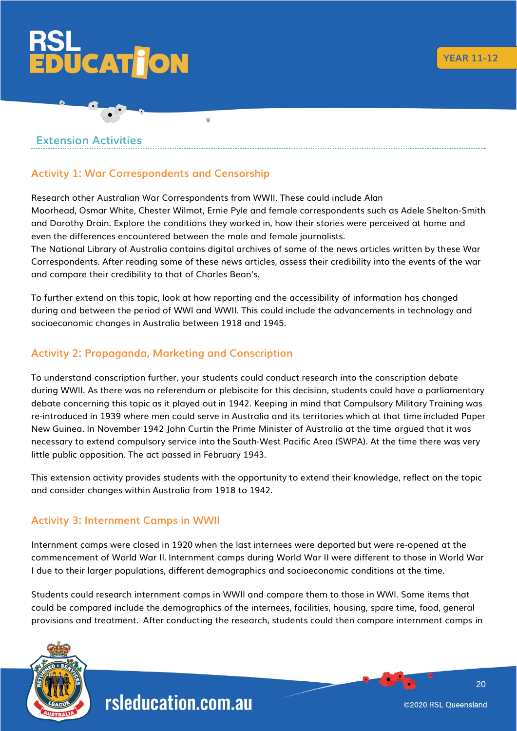### **UCATION**



#### <span id="page-19-0"></span>**Extension Activities**

#### **Activity 1: War Correspondents and Censorship**

Research other Australian War Correspondents from WWII. These could include Alan Moorhead, Osmar White, Chester Wilmot, Ernie Pyle and female correspondents such as Adele Shelton-Smith and Dorothy Drain. Explore the conditions they worked in, how their stories were perceived at home and even the differences encountered between the male and female journalists.

The National Library of Australia contains digital archives of some of the news articles written by these War Correspondents. After reading some of these news articles, assess their credibility into the events of the war and compare their credibility to that of Charles Bean's.  

To further extend on this topic, look at how reporting and the accessibility of information has changed during and between the period of WWI and WWII. This could include the advancements in technology and socioeconomic changes in Australia between 1918 and 1945.  

#### **Activity 2: Propaganda, Marketing and Conscription**

To understand conscription further, your students could conduct research into the conscription debate during WWII. As there was no referendum or plebiscite for this decision, students could have a parliamentary debate concerning this topic as it played out in 1942. Keeping in mind that Compulsory Military Training was re-introduced in 1939 where men could serve in Australia and its territories which at that time included Paper New Guinea. In November 1942 John Curtin the Prime Minister of Australia at the time argued that it was necessary to extend compulsory service into the South-West Pacific Area (SWPA). At the time there was very little public opposition. The act passed in February 1943.  

This extension activity provides students with the opportunity to extend their knowledge, reflect on the topic and consider changes within Australia from 1918 to 1942.

#### **Activity 3: Internment Camps in WWII**

Internment camps were closed in 1920 when the last internees were deported but were re-opened at the commencement of World War II. Internment camps during World War II were different to those in World War I due to their larger populations, different demographics and socioeconomic conditions at the time.  

Students could research internment camps in WWII and compare them to those in WWI. Some items that could be compared include the demographics of the internees, facilities, housing, spare time, food, general provisions and treatment. After conducting the research, students could then compare internment camps in



rsleducation.com.au

©2020 RSL Queensland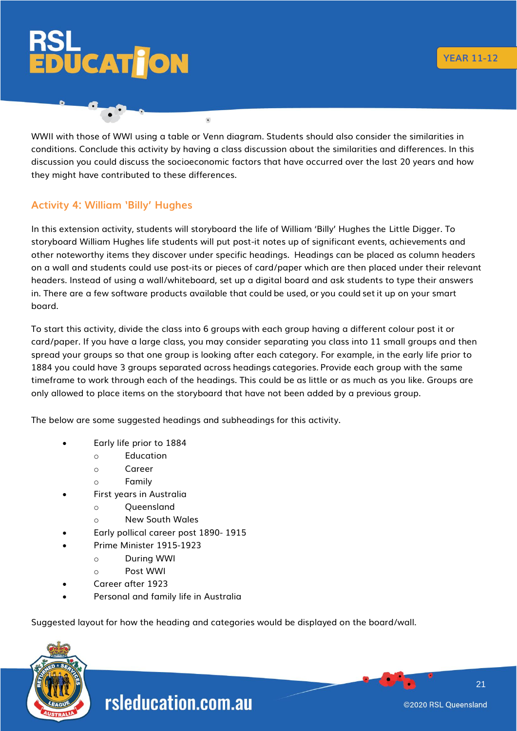# **ÜCATION**

WWII with those of WWI using a table or Venn diagram. Students should also consider the similarities in conditions. Conclude this activity by having a class discussion about the similarities and differences. In this discussion you could discuss the socioeconomic factors that have occurred over the last 20 years and how they might have contributed to these differences.  

 $\ddot{\phantom{a}}$ 

#### **Activity 4: William 'Billy' Hughes**

In this extension activity, students will storyboard the life of William 'Billy' Hughes the Little Digger. To storyboard William Hughes life students will put post-it notes up of significant events, achievements and other noteworthy items they discover under specific headings. Headings can be placed as column headers on a wall and students could use post-its or pieces of card/paper which are then placed under their relevant headers. Instead of using a wall/whiteboard, set up a digital board and ask students to type their answers in. There are a few software products available that could be used, or you could set it up on your smart board.  

To start this activity, divide the class into 6 groups with each group having a different colour post it or card/paper. If you have a large class, you may consider separating you class into 11 small groups and then spread your groups so that one group is looking after each category. For example, in the early life prior to 1884 you could have 3 groups separated across headings categories. Provide each group with the same timeframe to work through each of the headings. This could be as little or as much as you like. Groups are only allowed to place items on the storyboard that have not been added by a previous group.  

The below are some suggested headings and subheadings for this activity.  

- Early life prior to 1884
	- o Education
	- o Career
	- o Family
- First years in Australia
	- o Queensland
	- o New South Wales
- Early pollical career post 1890- 1915
- Prime Minister 1915-1923
	- o During WWI
		- o Post WWI
- Career after 1923
- Personal and family life in Australia

Suggested layout for how the heading and categories would be displayed on the board/wall.



rsleducation.com.au

©2020 RSL Queensland